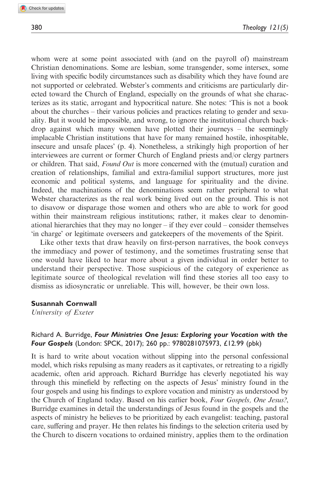whom were at some point associated with (and on the payroll of) mainstream Christian denominations. Some are lesbian, some transgender, some intersex, some living with specific bodily circumstances such as disability which they have found are not supported or celebrated. Webster's comments and criticisms are particularly directed toward the Church of England, especially on the grounds of what she characterizes as its static, arrogant and hypocritical nature. She notes: 'This is not a book about the churches – their various policies and practices relating to gender and sexuality. But it would be impossible, and wrong, to ignore the institutional church backdrop against which many women have plotted their journeys – the seemingly implacable Christian institutions that have for many remained hostile, inhospitable, insecure and unsafe places' (p. 4). Nonetheless, a strikingly high proportion of her interviewees are current or former Church of England priests and/or clergy partners or children. That said, *Found Out* is more concerned with the (mutual) curation and creation of relationships, familial and extra-familial support structures, more just economic and political systems, and language for spirituality and the divine. Indeed, the machinations of the denominations seem rather peripheral to what Webster characterizes as the real work being lived out on the ground. This is not to disavow or disparage those women and others who are able to work for good within their mainstream religious institutions; rather, it makes clear to denominational hierarchies that they may no longer – if they ever could – consider themselves 'in charge' or legitimate overseers and gatekeepers of the movements of the Spirit.

Like other texts that draw heavily on first-person narratives, the book conveys the immediacy and power of testimony, and the sometimes frustrating sense that one would have liked to hear more about a given individual in order better to understand their perspective. Those suspicious of the category of experience as legitimate source of theological revelation will find these stories all too easy to dismiss as idiosyncratic or unreliable. This will, however, be their own loss.

## Susannah Cornwall

University of Exeter

## Richard A. Burridge, Four Ministries One Jesus: Exploring your Vocation with the Four Gospels (London: SPCK, 2017); 260 pp.: 9780281075973, £12.99 (pbk)

It is hard to write about vocation without slipping into the personal confessional model, which risks repulsing as many readers as it captivates, or retreating to a rigidly academic, often arid approach. Richard Burridge has cleverly negotiated his way through this minefield by reflecting on the aspects of Jesus' ministry found in the four gospels and using his findings to explore vocation and ministry as understood by the Church of England today. Based on his earlier book, Four Gospels, One Jesus?, Burridge examines in detail the understandings of Jesus found in the gospels and the aspects of ministry he believes to be prioritized by each evangelist: teaching, pastoral care, suffering and prayer. He then relates his findings to the selection criteria used by the Church to discern vocations to ordained ministry, applies them to the ordination